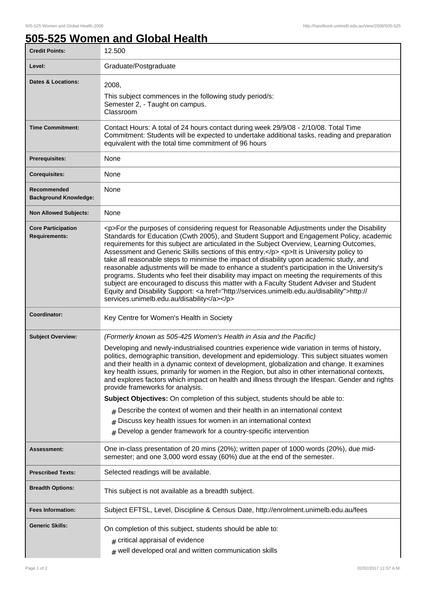## **505-525 Women and Global Health**

| <b>Credit Points:</b>                             | 12.500                                                                                                                                                                                                                                                                                                                                                                                                                                                                                                                                                                                                                                                                                                                                                                                                                                                                                                                       |
|---------------------------------------------------|------------------------------------------------------------------------------------------------------------------------------------------------------------------------------------------------------------------------------------------------------------------------------------------------------------------------------------------------------------------------------------------------------------------------------------------------------------------------------------------------------------------------------------------------------------------------------------------------------------------------------------------------------------------------------------------------------------------------------------------------------------------------------------------------------------------------------------------------------------------------------------------------------------------------------|
| Level:                                            | Graduate/Postgraduate                                                                                                                                                                                                                                                                                                                                                                                                                                                                                                                                                                                                                                                                                                                                                                                                                                                                                                        |
| <b>Dates &amp; Locations:</b>                     | 2008,                                                                                                                                                                                                                                                                                                                                                                                                                                                                                                                                                                                                                                                                                                                                                                                                                                                                                                                        |
|                                                   | This subject commences in the following study period/s:<br>Semester 2, - Taught on campus.<br>Classroom                                                                                                                                                                                                                                                                                                                                                                                                                                                                                                                                                                                                                                                                                                                                                                                                                      |
| <b>Time Commitment:</b>                           | Contact Hours: A total of 24 hours contact during week 29/9/08 - 2/10/08. Total Time<br>Commitment: Students will be expected to undertake additional tasks, reading and preparation<br>equivalent with the total time commitment of 96 hours                                                                                                                                                                                                                                                                                                                                                                                                                                                                                                                                                                                                                                                                                |
| <b>Prerequisites:</b>                             | None                                                                                                                                                                                                                                                                                                                                                                                                                                                                                                                                                                                                                                                                                                                                                                                                                                                                                                                         |
| <b>Corequisites:</b>                              | None                                                                                                                                                                                                                                                                                                                                                                                                                                                                                                                                                                                                                                                                                                                                                                                                                                                                                                                         |
| Recommended<br><b>Background Knowledge:</b>       | None                                                                                                                                                                                                                                                                                                                                                                                                                                                                                                                                                                                                                                                                                                                                                                                                                                                                                                                         |
| <b>Non Allowed Subjects:</b>                      | None                                                                                                                                                                                                                                                                                                                                                                                                                                                                                                                                                                                                                                                                                                                                                                                                                                                                                                                         |
| <b>Core Participation</b><br><b>Requirements:</b> | <p>For the purposes of considering request for Reasonable Adjustments under the Disability<br/>Standards for Education (Cwth 2005), and Student Support and Engagement Policy, academic<br/>requirements for this subject are articulated in the Subject Overview, Learning Outcomes,<br/>Assessment and Generic Skills sections of this entry.</p> <p>lt is University policy to<br/>take all reasonable steps to minimise the impact of disability upon academic study, and<br/>reasonable adjustments will be made to enhance a student's participation in the University's<br/>programs. Students who feel their disability may impact on meeting the requirements of this<br/>subject are encouraged to discuss this matter with a Faculty Student Adviser and Student<br/>Equity and Disability Support: &lt; a href="http://services.unimelb.edu.au/disability"&gt;http://<br/>services.unimelb.edu.au/disability</p> |
| Coordinator:                                      | Key Centre for Women's Health in Society                                                                                                                                                                                                                                                                                                                                                                                                                                                                                                                                                                                                                                                                                                                                                                                                                                                                                     |
| <b>Subject Overview:</b>                          | (Formerly known as 505-425 Women's Health in Asia and the Pacific)                                                                                                                                                                                                                                                                                                                                                                                                                                                                                                                                                                                                                                                                                                                                                                                                                                                           |
|                                                   | Developing and newly-industrialised countries experience wide variation in terms of history,<br>politics, demographic transition, development and epidemiology. This subject situates women<br>and their health in a dynamic context of development, globalization and change. It examines<br>key health issues, primarily for women in the Region, but also in other international contexts,<br>and explores factors which impact on health and illness through the lifespan. Gender and rights<br>provide frameworks for analysis.                                                                                                                                                                                                                                                                                                                                                                                         |
|                                                   | Subject Objectives: On completion of this subject, students should be able to:                                                                                                                                                                                                                                                                                                                                                                                                                                                                                                                                                                                                                                                                                                                                                                                                                                               |
|                                                   | $_{\text{\#}}$ Describe the context of women and their health in an international context                                                                                                                                                                                                                                                                                                                                                                                                                                                                                                                                                                                                                                                                                                                                                                                                                                    |
|                                                   | Discuss key health issues for women in an international context<br>#<br>Develop a gender framework for a country-specific intervention                                                                                                                                                                                                                                                                                                                                                                                                                                                                                                                                                                                                                                                                                                                                                                                       |
| <b>Assessment:</b>                                | One in-class presentation of 20 mins (20%); written paper of 1000 words (20%), due mid-<br>semester; and one 3,000 word essay (60%) due at the end of the semester.                                                                                                                                                                                                                                                                                                                                                                                                                                                                                                                                                                                                                                                                                                                                                          |
| <b>Prescribed Texts:</b>                          | Selected readings will be available.                                                                                                                                                                                                                                                                                                                                                                                                                                                                                                                                                                                                                                                                                                                                                                                                                                                                                         |
| <b>Breadth Options:</b>                           | This subject is not available as a breadth subject.                                                                                                                                                                                                                                                                                                                                                                                                                                                                                                                                                                                                                                                                                                                                                                                                                                                                          |
| <b>Fees Information:</b>                          | Subject EFTSL, Level, Discipline & Census Date, http://enrolment.unimelb.edu.au/fees                                                                                                                                                                                                                                                                                                                                                                                                                                                                                                                                                                                                                                                                                                                                                                                                                                         |
| <b>Generic Skills:</b>                            | On completion of this subject, students should be able to:<br># critical appraisal of evidence<br>$#$ well developed oral and written communication skills                                                                                                                                                                                                                                                                                                                                                                                                                                                                                                                                                                                                                                                                                                                                                                   |